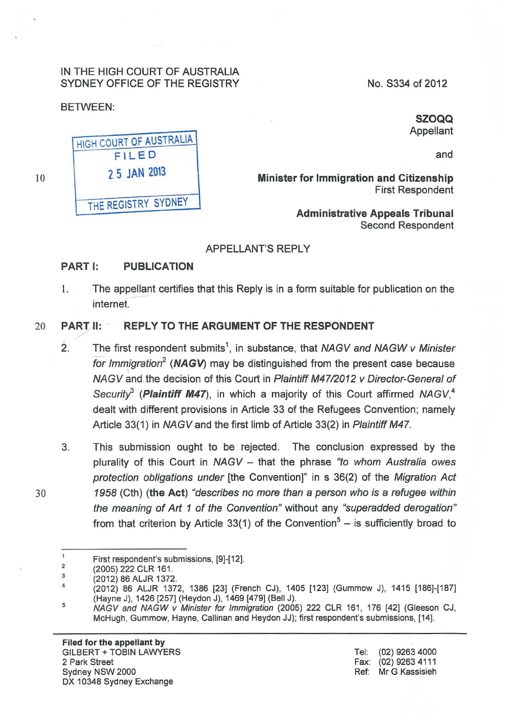## IN THE HIGH COURT OF AUSTRALIA SYDNEY OFFICE OF THE REGISTRY

# BETWEEN:

10

SZOQQ Appellant

No. S334 of 2012

and

Minister for Immigration and Citizenship First Respondent

> Administrative Appeals Tribunal Second Respondent

## APPELLANT'S REPLY

# PART I: PUBLICATION

1. The appellant certifies that this Reply is in a form suitable for publication on the internet.

# 20 PART II: REPLY TO THE ARGUMENT OF THE RESPONDENT

- 2. The first respondent submits<sup>1</sup>, in substance, that NAGV and NAGW v Minister for Immigration<sup>2</sup> (NAGV) may be distinguished from the present case because NAGV and the decision of this Court in Plaintiff M4712012 v Director-General of Security<sup>3</sup> (Plaintiff M47), in which a majority of this Court affirmed NAGV,<sup>4</sup> dealt with different provisions in Article 33 of the Refugees Convention; namely Article 33(1) in NAGV and the first limb of Article 33(2) in Plaintiff M47.
- 3. This submission ought to be rejected. The conclusion expressed by the plurality of this Court in  $NAGV -$  that the phrase "to whom Australia owes protection obligations under [the Convention]" in s 36(2) of the Migration Act 30 1958 (Cth) (the Act) "describes no more than a person who is a refugee within the meaning of Art 1 of the Convention" without any "superadded derogation" from that criterion by Article 33(1) of the Convention<sup>5</sup> - is sufficiently broad to



HIGH COURT OF AUSTRALIA FILED *2* 5 JAN 2013 THE REGISTRY SYDNEY

 $\mathbf{1}$ First respondent's submissions, [9]-[12]. 2

<sup>(2005) 222</sup> CLR 161 . 3

<sup>(2012) 86</sup> ALJR 1372.

<sup>4</sup>  5 (2012) 86 ALJR 1372, 1386 [23] (French CJ), 1405 [123] (Gummow J), 1415 [186]-[187] (Hayne J), 1426 [257] (Heydon J), 1469 [479] (Bell J).

NAGV and NAGW v Minister for Immigration (2005) 222 CLR 161 , 176 [42] (Gleeson CJ, McHugh, Gummow, Hayne, Callinan and Heydon JJ); first respondent's submissions, [14].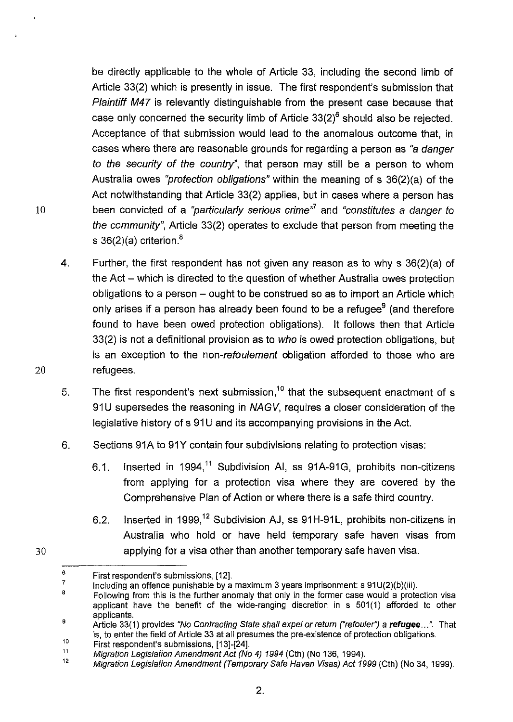be directly applicable to the whole of Article 33, including the second limb of Article 33(2) which is presently in issue. The first respondent's submission that Plaintiff M47 is relevantly distinguishable from the present case because that case only concerned the security limb of Article  $33(2)^6$  should also be rejected. Acceptance of that submission would lead to the anomalous outcome that, in cases where there are reasonable grounds for regarding a person as "a danger to the security of the country", that person may still be a person to whom Australia owes "protection obligations" within the meaning of s 36(2)(a) of the Act notwithstanding that Article 33(2) applies, but in cases where a person has been convicted of a "particularly serious crime"*<sup>7</sup>*and "constitutes a danger to the community", Article 33(2) operates to exclude that person from meeting the s  $36(2)(a)$  criterion.<sup>8</sup>

- 4. Further, the first respondent has not given any reason as to why s 36(2)(a) of the Act – which is directed to the question of whether Australia owes protection obligations to a person  $-$  ought to be construed so as to import an Article which only arises if a person has already been found to be a refugee $9$  (and therefore found to have been owed protection obligations). It follows then that Article 33(2) is not a definitional provision as to who is owed protection obligations, but is an exception to the non-refoulement obligation afforded to those who are refugees.
- 5. The first respondent's next submission,<sup>10</sup> that the subsequent enactment of s 91U supersedes the reasoning in NAGV, requires a closer consideration of the legislative history of s 91U and its accompanying provisions in the Act.
- 6. Sections 91A to 91Y contain four subdivisions relating to protection visas:
	- 6.1. Inserted in 1994,<sup>11</sup> Subdivision AI, ss 91A-91G, prohibits non-citizens from applying for a protection visa where they are covered by the Comprehensive Plan of Action or where there is a safe third country.
	- 6.2. Inserted in 1999,<sup>12</sup> Subdivision AJ, ss 91H-91L, prohibits non-citizens in Australia who hold or have held temporary safe haven visas from applying for a visa other than another temporary safe haven visa.

10

20

30

<sup>6</sup>  First respondent's submissions, [12].

<sup>7</sup>  Including an offence punishable by a maximum 3 years imprisonment: s 91 U(2)(b)(iii).

<sup>8</sup>  9 Following from this is the further anomaly that only in the former case would a protection visa applicant have the benefit of the wide-ranging discretion in s 501(1) afforded to other applicants.

<sup>10</sup>  Article 33(1) provides "No Contracting State shall expel or return ("refouler") a refugee...". That is, to enter the field of Article 33 at all presumes the pre-existence of protection obligations.

First respondent's submissions, [13]-[24].

<sup>11</sup>  Migration Legislation Amendment Act (No 4) 1994 (Cth) (No 136, 1994).

<sup>12</sup>  Migration Legislation Amendment (Temporary Safe Haven Visas) Act 1999 (Cth) (No 34, 1999).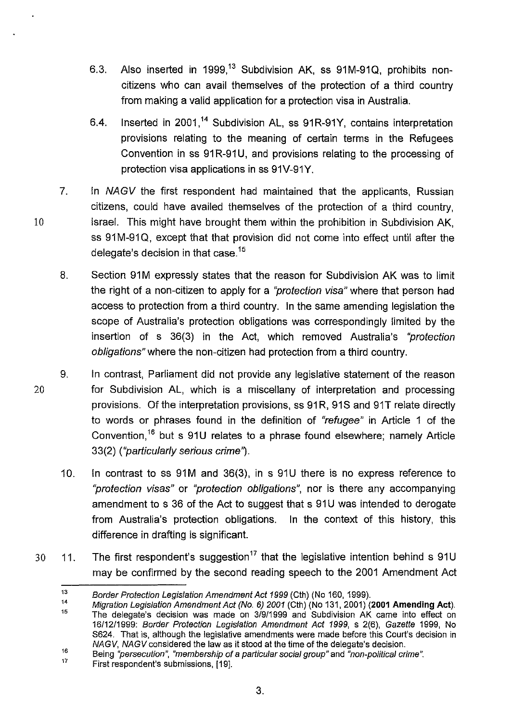- 6.3. Also inserted in 1999,<sup>13</sup> Subdivision AK, ss 91M-91Q, prohibits noncitizens who can avail themselves of the protection of a third country from making a valid application for a protection visa in Australia.
- 6.4. Inserted in 2001.<sup>14</sup> Subdivision AL, ss 91R-91Y, contains interpretation provisions relating to the meaning of certain terms in the Refugees Convention in ss 91R-91U, and provisions relating to the processing of protection visa applications in ss 91V-91Y.
- 7. In NAGV the first respondent had maintained that the applicants, Russian citizens, could have availed themselves of the protection of a third country, Israel. This might have brought them within the prohibition in Subdivision AK, ss 91M-91Q, except that that provision did not come into effect until after the delegate's decision in that case. $15$
- 8. Section 91M expressly states that the reason for Subdivision AK was to limit the right of a non-citizen to apply for a "protection visa" where that person had access to protection from a third country. In the same amending legislation the scope of Australia's protection obligations was correspondingly limited by the insertion of s 36(3) in the Act, which removed Australia's "protection obligations" where the non-citizen had protection from a third country.
- 9. In contrast, Parliament did not provide any legislative statement of the reason for Subdivision AL, which is a miscellany of interpretation and processing provisions. Of the interpretation provisions, ss 91R, 91S and 91T relate directly to words or phrases found in the definition of "refugee" in Article 1 of the Convention,<sup>16</sup> but s 91U relates to a phrase found elsewhere; namely Article 33(2) ("particularly serious crime').
	- 10. In contrast to ss 91M and 36(3), in s 91U there is no express reference to "protection visas" or "protection obligations", nor is there any accompanying amendment to s 36 of the Act to suggest that s 91U was intended to derogate from Australia's protection obligations. In the context of this history, this difference in drafting is significant.
- 30 11. The first respondent's suggestion<sup>17</sup> that the legislative intention behind s 91U may be confirmed by the second reading speech to the 2001 Amendment Act

10

20

<sup>13</sup>  Border Protection Legislation Amendment Act 1999 (Cth) (No 160, 1999).

<sup>14</sup>  15 Migration Legislation Amendment Act (No. 6) 2001 (Cth) (No 131, 2001) **(2001 Amending Act).**  The delegate's decision was made on 3/9/1999 and Subdivision AK came into effect on 16/12/1999: Border Protection Legislation Amendment Act 1999, s 2(6), Gazette 1999, No S624. That is, although the legislative amendments were made before this Court's decision in NAGV, NAGV considered the law as it stood at the time of the delegate's decision.

<sup>16</sup>  Being "persecution", "membership of a particular social group" and "non-political crime".

<sup>17</sup>  First respondent's submissions, [19].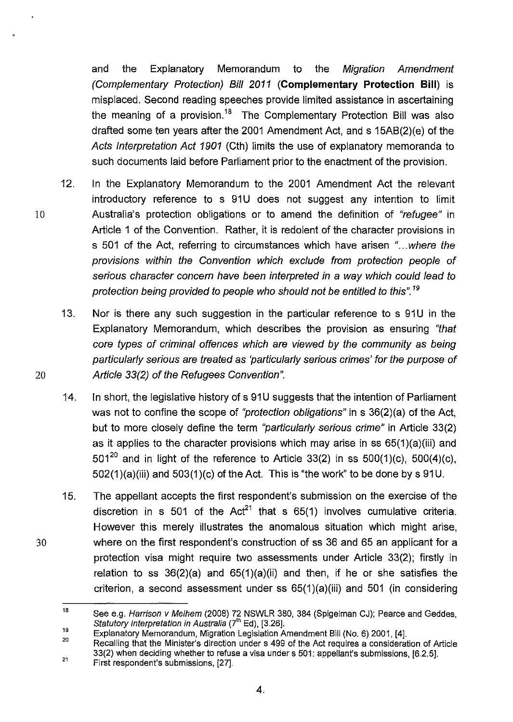and the Explanatory Memorandum to the Migration Amendment (Complementary Protection) Bill 2011 **(Complementary Protection Bill)** is misplaced. Second reading speeches provide limited assistance in ascertaining the meaning of a provision.<sup>18</sup> The Complementary Protection Bill was also drafted some ten years after the 2001 Amendment Act, and s 15AB(2)(e) of the Acts Interpretation Act 1901 (Cth) limits the use of explanatory memoranda to such documents laid before Parliament prior to the enactment of the provision.

- 12. In the Explanatory Memorandum to the 2001 Amendment Act the relevant introductory reference to s 91U does not suggest any intention to limit 10 Australia's protection obligations or to amend the definition of "refugee" in Article 1 of the Convention. Rather, it is redolent of the character provisions in s 501 of the Act, referring to circumstances which have arisen "...where the provisions within the Convention which exclude from protection people of serious character concern have been interpreted in a way which could lead to protection being provided to people who should not be entitled to this".<sup>19</sup>
- 13. Nor is there any such suggestion in the particular reference to s 91U in the Explanatory Memorandum, which describes the provision as ensuring "that core types of criminal offences which are viewed by the community as being particularly serious are treated as 'particularly serious crimes' for the purpose of 20 Article 33(2) of the Refugees Convention".
	- 14. In short, the legislative history of s 91U suggests that the intention of Parliament was not to confine the scope of "protection obligations" in s 36(2)(a) of the Act, but to more closely define the term "particularly serious crime" in Article 33(2) as it applies to the character provisions which may arise in ss 65(1)(a)(iii) and 501<sup>20</sup> and in light of the reference to Article 33(2) in ss 500(1)(c), 500(4)(c),  $502(1)(a)(iii)$  and  $503(1)(c)$  of the Act. This is "the work" to be done by s 91U.
- 15. The appellant accepts the first respondent's submission on the exercise of the discretion in s 501 of the Act<sup>21</sup> that s 65(1) involves cumulative criteria. However this merely illustrates the anomalous situation which might arise, 30 where on the first respondent's construction of ss 36 and 65 an applicant for a protection visa might require two assessments under Article 33(2); firstly in relation to ss 36(2)(a) and 65(1)(a)(ii) and then, if he or she satisfies the criterion, a second assessment under ss 65(1)(a)(iii) and 501 (in considering

21 Recalling that the Minister's direction under s 499 of the Act requires a consideration of Article 33(2) when deciding whether to refuse a visa under s 501: appellant's submissions, [6.2.5].

4.

<sup>18</sup>  See e.g. Harrison v Melhem (2008) 72 NSWLR 380, 384 (Spigelman CJ); Pearce and Geddes, Statutory Interpretation in Australia (7'" Ed}, [3.26].

<sup>19</sup>  20 Explanatory Memorandum, Migration Legislation Amendment Bill (No. 6) 2001, [4].

First respondent's submissions, [27].